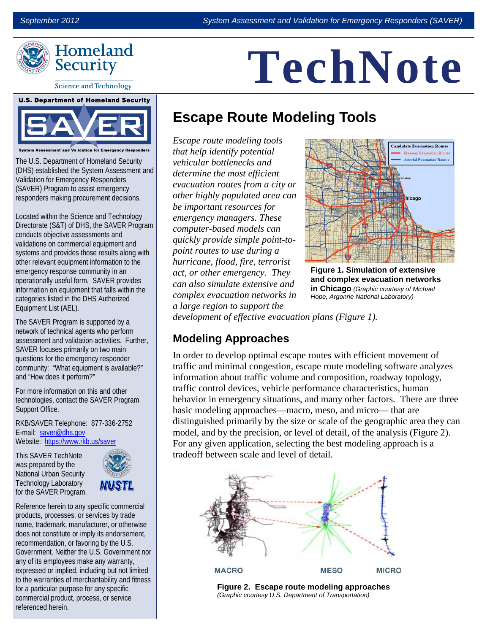

#### **Science and Technology**

## **U.S. Department of Homeland Security**

**Assessment and Validation for Emergency Res** 

The U.S. Department of Homeland Security (DHS) established the System Assessment and Validation for Emergency Responders (SAVER) Program to assist emergency responders making procurement decisions.

Located within the Science and Technology Directorate (S&T) of DHS, the SAVER Program conducts objective assessments and validations on commercial equipment and systems and provides those results along with other relevant equipment information to the emergency response community in an operationally useful form. SAVER provides information on equipment that falls within the categories listed in the DHS Authorized Equipment List (AEL).

The SAVER Program is supported by a network of technical agents who perform assessment and validation activities. Further SAVER focuses primarily on two main questions for the emergency responder community: "What equipment is available?" and "How does it perform?"

For more information on this and other technologies, contact the SAVER Program Support Office.

RKB/SAVER Telephone: 877-336-2752 E-mail: [saver@dhs.gov](mailto:saver@dhs.gov) Website: <https://www.rkb.us/saver>

This SAVER TechNote was prepared by the National Urban Security Technology Laboratory for the SAVER Program.



Reference herein to any specific commercial products, processes, or services by trade name, trademark, manufacturer, or otherwise does not constitute or imply its endorsement, recommendation, or favoring by the U.S. Government. Neither the U.S. Government nor any of its employees make any warranty, expressed or implied, including but not limited to the warranties of merchantability and fitness for a particular purpose for any specific commercial product, process, or service referenced herein.

# **TechNote**

### **Escape Route Modeling Tools**

*Escape route modeling tools that help identify potential vehicular bottlenecks and determine the most efficient evacuation routes from a city or other highly populated area can be important resources for emergency managers. These computer-based models can quickly provide simple point-topoint routes to use during a hurricane, flood, fire, terrorist act, or other emergency. They can also simulate extensive and complex evacuation networks in a large region to support the* 



**Figure 1. Simulation of extensive and complex evacuation networks in Chicago** *(Graphic courtesy of Michael Hope, Argonne National Laboratory)*

*development of effective evacuation plans (Figure 1).* 

### **Modeling Approaches**

In order to develop optimal escape routes with efficient movement of traffic and minimal congestion, escape route modeling software analyzes information about traffic volume and composition, roadway topology, traffic control devices, vehicle performance characteristics, human behavior in emergency situations, and many other factors. There are three basic modeling approaches—macro, meso, and micro— that are distinguished primarily by the size or scale of the geographic area they can model, and by the precision, or level of detail, of the analysis (Figure 2). For any given application, selecting the best modeling approach is a tradeoff between scale and level of detail.



 **Figure 2. Escape route modeling approaches** *(Graphic courtesy U.S. Department of Transportation)*